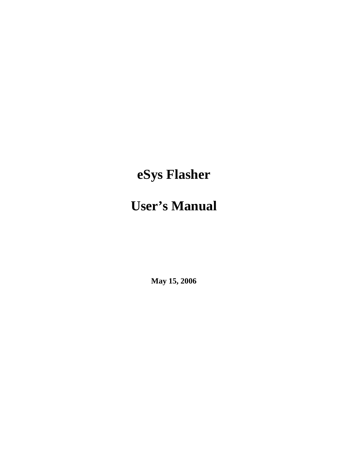# **eSys Flasher**

## **User's Manual**

**May 15, 2006**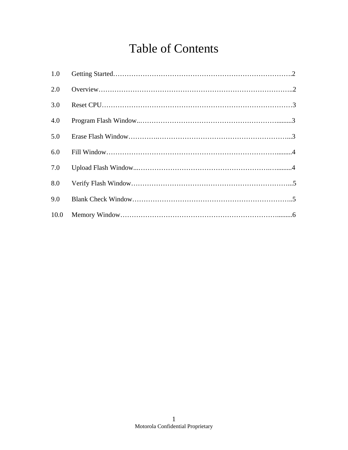### Table of Contents

| 1.0  |  |
|------|--|
| 2.0  |  |
| 3.0  |  |
| 4.0  |  |
| 5.0  |  |
| 6.0  |  |
| 7.0  |  |
| 8.0  |  |
| 9.0  |  |
| 10.0 |  |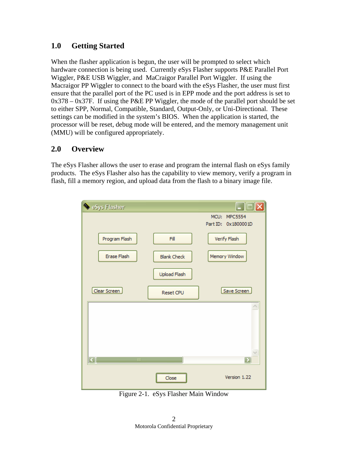#### **1.0 Getting Started**

When the flasher application is begun, the user will be prompted to select which hardware connection is being used. Currently eSys Flasher supports P&E Parallel Port Wiggler, P&E USB Wiggler, and MaCraigor Parallel Port Wiggler. If using the Macraigor PP Wiggler to connect to the board with the eSys Flasher, the user must first ensure that the parallel port of the PC used is in EPP mode and the port address is set to  $0x378 - 0x37F$ . If using the P&E PP Wiggler, the mode of the parallel port should be set to either SPP, Normal, Compatible, Standard, Output-Only, or Uni-Directional. These settings can be modified in the system's BIOS. When the application is started, the processor will be reset, debug mode will be entered, and the memory management unit (MMU) will be configured appropriately.

#### **2.0 Overview**

The eSys Flasher allows the user to erase and program the internal flash on eSys family products. The eSys Flasher also has the capability to view memory, verify a program in flash, fill a memory region, and upload data from the flash to a binary image file.

| Sys Flasher            |                    | $\Box$ $\Box$ $\times$ |
|------------------------|--------------------|------------------------|
|                        |                    | MCU: MPC5554           |
|                        |                    | Part ID: 0x1800001D    |
| Program Flash          | Fill               | Verify Flash           |
| Erase Flash            | <b>Blank Check</b> | Memory Window          |
|                        | Upload Flash       |                        |
| Clear Screen           | Reset CPU          | Save Screen            |
|                        |                    |                        |
| $\mathbb{H}\mathbb{H}$ |                    | ⋝                      |
|                        | <br>Close          | Version 1.22           |

Figure 2-1. eSys Flasher Main Window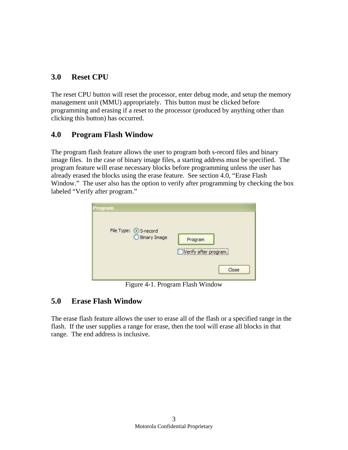#### **3.0 Reset CPU**

The reset CPU button will reset the processor, enter debug mode, and setup the memory management unit (MMU) appropriately. This button must be clicked before programming and erasing if a reset to the processor (produced by anything other than clicking this button) has occurred.

#### **4.0 Program Flash Window**

The program flash feature allows the user to program both s-record files and binary image files. In the case of binary image files, a starting address must be specified. The program feature will erase necessary blocks before programming unless the user has already erased the blocks using the erase feature. See section 4.0, "Erase Flash Window." The user also has the option to verify after programming by checking the box labeled "Verify after program."

| Program |                                     |                                                                                                                                                              |
|---------|-------------------------------------|--------------------------------------------------------------------------------------------------------------------------------------------------------------|
|         | File Type: 5-record<br>Binary Image | Program<br>Verify after program.<br>and a series of the contract of the contract of the contract of the contract of the contract of the contract of<br>Close |

Figure 4-1. Program Flash Window

#### **5.0 Erase Flash Window**

The erase flash feature allows the user to erase all of the flash or a specified range in the flash. If the user supplies a range for erase, then the tool will erase all blocks in that range. The end address is inclusive.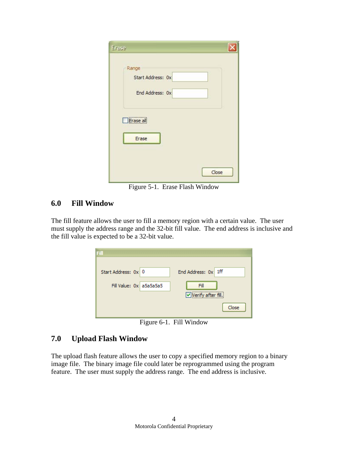| Erase                                         |       |
|-----------------------------------------------|-------|
| Range<br>Start Address: 0x<br>End Address: 0x |       |
| Erase all<br>Erase                            |       |
|                                               | Close |

Figure 5-1. Erase Flash Window

#### **6.0 Fill Window**

The fill feature allows the user to fill a memory region with a certain value. The user must supply the address range and the 32-bit fill value. The end address is inclusive and the fill value is expected to be a 32-bit value.

| Start Address: 0x 0     | End Address: 0x 1ff |
|-------------------------|---------------------|
| Fill Value: 0x a5a5a5a5 | Fill                |
|                         | Verify after fill.  |
|                         | Close               |

Figure 6-1. Fill Window

#### **7.0 Upload Flash Window**

The upload flash feature allows the user to copy a specified memory region to a binary image file. The binary image file could later be reprogrammed using the program feature. The user must supply the address range. The end address is inclusive.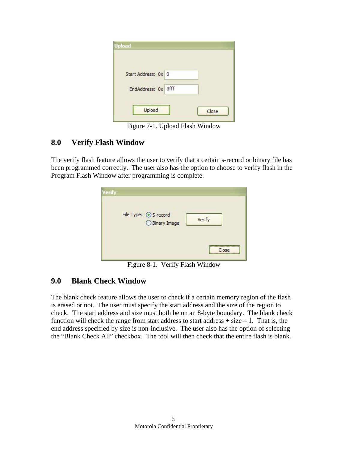| Start Address: 0x 0 |  |
|---------------------|--|
| EndAddress: 0x 3fff |  |

Figure 7-1. Upload Flash Window

#### **8.0 Verify Flash Window**

The verify flash feature allows the user to verify that a certain s-record or binary file has been programmed correctly. The user also has the option to choose to verify flash in the Program Flash Window after programming is complete.

| <b>Verify</b> | File Type: 5-record |                                           |
|---------------|---------------------|-------------------------------------------|
|               | ○ Binary Image      | Verify                                    |
|               |                     | <br>Ince<br>***************************** |

Figure 8-1. Verify Flash Window

#### **9.0 Blank Check Window**

The blank check feature allows the user to check if a certain memory region of the flash is erased or not. The user must specify the start address and the size of the region to check. The start address and size must both be on an 8-byte boundary. The blank check function will check the range from start address to start address  $+$  size  $-1$ . That is, the end address specified by size is non-inclusive. The user also has the option of selecting the "Blank Check All" checkbox. The tool will then check that the entire flash is blank.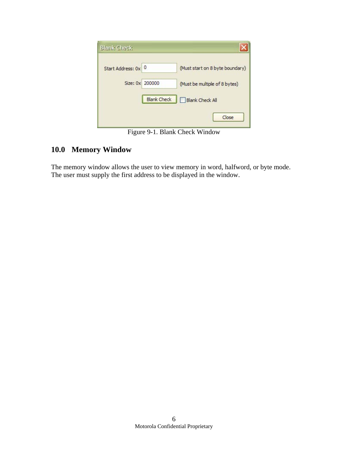| <b>Blank Check</b>  |                    |                                 |
|---------------------|--------------------|---------------------------------|
| Start Address: 0x 0 |                    | (Must start on 8 byte boundary) |
| Size: 0x 200000     |                    | (Must be multiple of 8 bytes)   |
|                     | <b>Blank Check</b> | <b>Blank Check All</b>          |
|                     |                    | Close                           |

Figure 9-1. Blank Check Window

#### **10.0 Memory Window**

The memory window allows the user to view memory in word, halfword, or byte mode. The user must supply the first address to be displayed in the window.